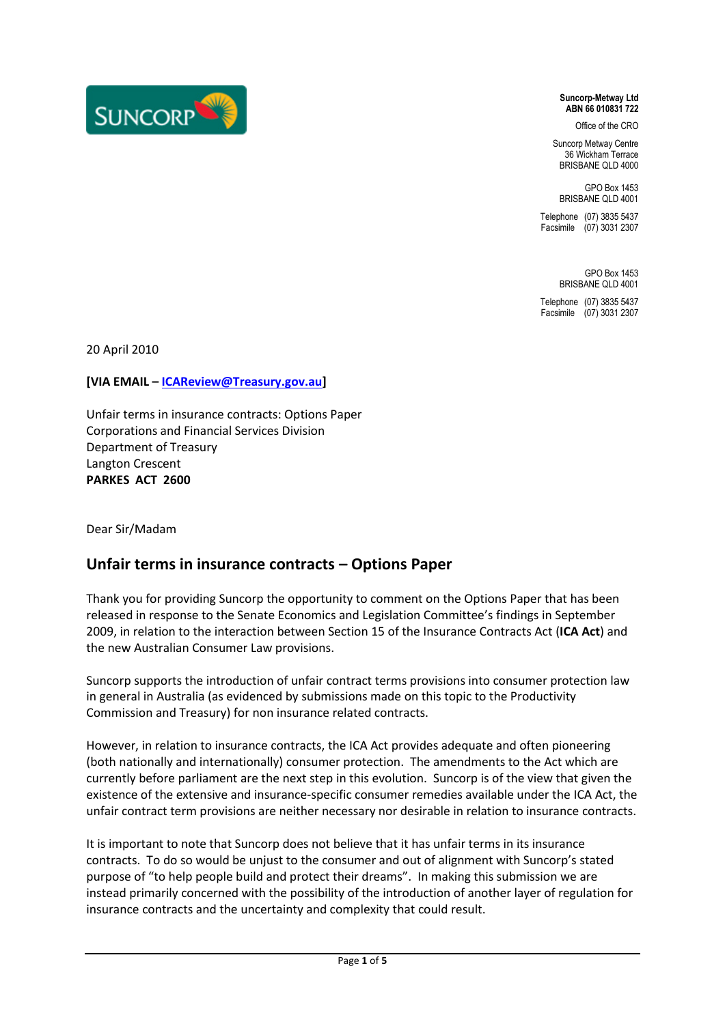

**Suncorp-Metway Ltd ABN 66 010831 722**

Office of the CRO

Suncorp Metway Centre 36 Wickham Terrace BRISBANE QLD 4000

GPO Box 1453 BRISBANE QLD 4001

Telephone (07) 3835 5437 Facsimile (07) 3031 2307

> GPO Box 1453 BRISBANE OLD 4001

Telephone (07) 3835 5437 Facsimile (07) 3031 2307

20 April 2010

**[VIA EMAIL – [ICAReview@Treasury.gov.au\]](mailto:ICAReview@Treasury.gov.au)**

Unfair terms in insurance contracts: Options Paper Corporations and Financial Services Division Department of Treasury Langton Crescent **PARKES ACT 2600**

Dear Sir/Madam

# **Unfair terms in insurance contracts – Options Paper**

Thank you for providing Suncorp the opportunity to comment on the Options Paper that has been released in response to the Senate Economics and Legislation Committee's findings in September 2009, in relation to the interaction between Section 15 of the Insurance Contracts Act (**ICA Act**) and the new Australian Consumer Law provisions.

Suncorp supports the introduction of unfair contract terms provisions into consumer protection law in general in Australia (as evidenced by submissions made on this topic to the Productivity Commission and Treasury) for non insurance related contracts.

However, in relation to insurance contracts, the ICA Act provides adequate and often pioneering (both nationally and internationally) consumer protection. The amendments to the Act which are currently before parliament are the next step in this evolution. Suncorp is of the view that given the existence of the extensive and insurance-specific consumer remedies available under the ICA Act, the unfair contract term provisions are neither necessary nor desirable in relation to insurance contracts.

It is important to note that Suncorp does not believe that it has unfair terms in its insurance contracts. To do so would be unjust to the consumer and out of alignment with Suncorp's stated purpose of "to help people build and protect their dreams". In making this submission we are instead primarily concerned with the possibility of the introduction of another layer of regulation for insurance contracts and the uncertainty and complexity that could result.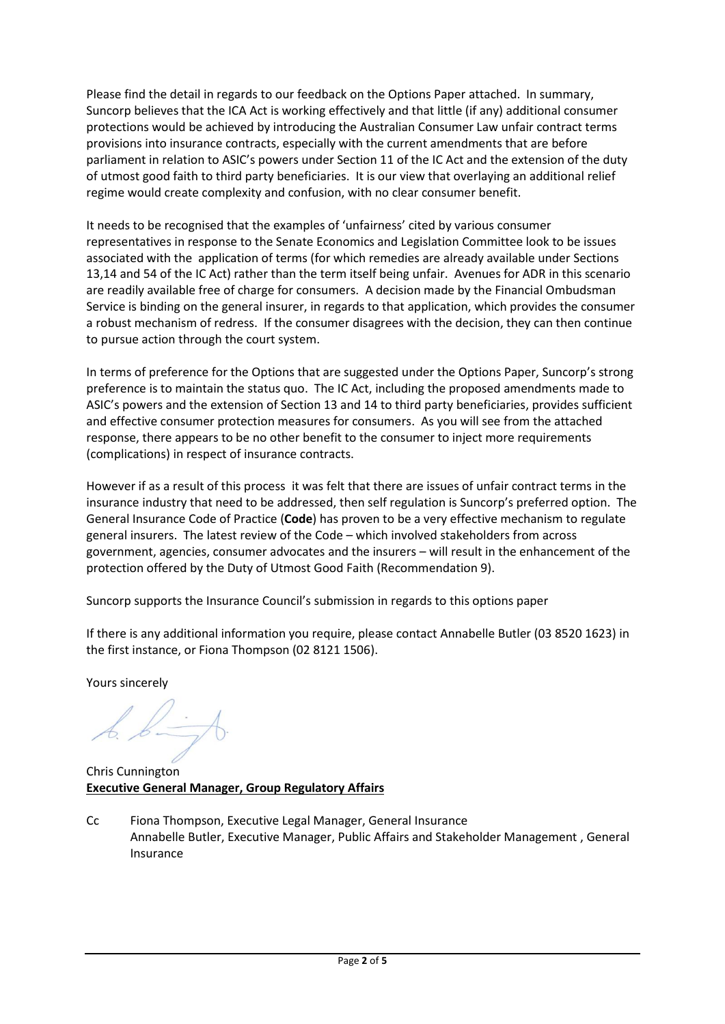Please find the detail in regards to our feedback on the Options Paper attached. In summary, Suncorp believes that the ICA Act is working effectively and that little (if any) additional consumer protections would be achieved by introducing the Australian Consumer Law unfair contract terms provisions into insurance contracts, especially with the current amendments that are before parliament in relation to ASIC's powers under Section 11 of the IC Act and the extension of the duty of utmost good faith to third party beneficiaries. It is our view that overlaying an additional relief regime would create complexity and confusion, with no clear consumer benefit.

It needs to be recognised that the examples of 'unfairness' cited by various consumer representatives in response to the Senate Economics and Legislation Committee look to be issues associated with the application of terms (for which remedies are already available under Sections 13,14 and 54 of the IC Act) rather than the term itself being unfair. Avenues for ADR in this scenario are readily available free of charge for consumers. A decision made by the Financial Ombudsman Service is binding on the general insurer, in regards to that application, which provides the consumer a robust mechanism of redress. If the consumer disagrees with the decision, they can then continue to pursue action through the court system.

In terms of preference for the Options that are suggested under the Options Paper, Suncorp's strong preference is to maintain the status quo. The IC Act, including the proposed amendments made to ASIC's powers and the extension of Section 13 and 14 to third party beneficiaries, provides sufficient and effective consumer protection measures for consumers. As you will see from the attached response, there appears to be no other benefit to the consumer to inject more requirements (complications) in respect of insurance contracts.

However if as a result of this process it was felt that there are issues of unfair contract terms in the insurance industry that need to be addressed, then self regulation is Suncorp's preferred option. The General Insurance Code of Practice (**Code**) has proven to be a very effective mechanism to regulate general insurers. The latest review of the Code – which involved stakeholders from across government, agencies, consumer advocates and the insurers – will result in the enhancement of the protection offered by the Duty of Utmost Good Faith (Recommendation 9).

Suncorp supports the Insurance Council's submission in regards to this options paper

If there is any additional information you require, please contact Annabelle Butler (03 8520 1623) in the first instance, or Fiona Thompson (02 8121 1506).

Yours sincerely

Chris Cunnington **Executive General Manager, Group Regulatory Affairs** 

Cc Fiona Thompson, Executive Legal Manager, General Insurance Annabelle Butler, Executive Manager, Public Affairs and Stakeholder Management , General Insurance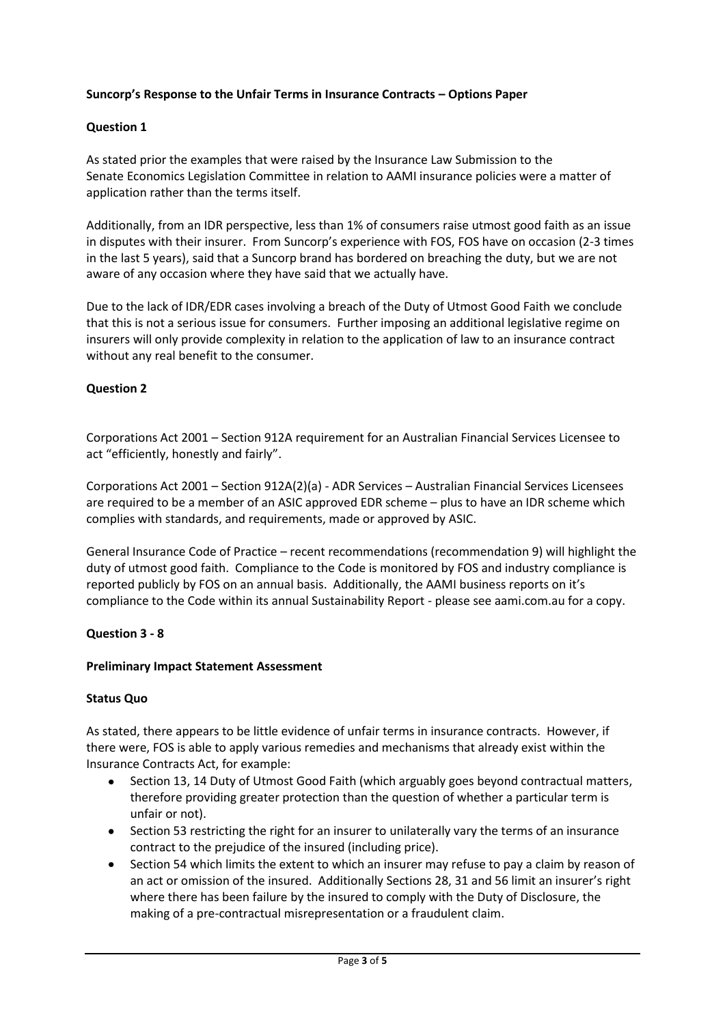# **Suncorp's Response to the Unfair Terms in Insurance Contracts – Options Paper**

# **Question 1**

As stated prior the examples that were raised by the Insurance Law Submission to the Senate Economics Legislation Committee in relation to AAMI insurance policies were a matter of application rather than the terms itself.

Additionally, from an IDR perspective, less than 1% of consumers raise utmost good faith as an issue in disputes with their insurer. From Suncorp's experience with FOS, FOS have on occasion (2-3 times in the last 5 years), said that a Suncorp brand has bordered on breaching the duty, but we are not aware of any occasion where they have said that we actually have.

Due to the lack of IDR/EDR cases involving a breach of the Duty of Utmost Good Faith we conclude that this is not a serious issue for consumers. Further imposing an additional legislative regime on insurers will only provide complexity in relation to the application of law to an insurance contract without any real benefit to the consumer.

## **Question 2**

Corporations Act 2001 – Section 912A requirement for an Australian Financial Services Licensee to act "efficiently, honestly and fairly".

Corporations Act 2001 – Section 912A(2)(a) - ADR Services – Australian Financial Services Licensees are required to be a member of an ASIC approved EDR scheme – plus to have an IDR scheme which complies with standards, and requirements, [made](http://www.austlii.edu.au/au/legis/cth/consol_act/ca2001172/s1371.html#made) or approved by [ASIC.](http://www.austlii.edu.au/au/legis/cth/consol_act/ca2001172/s9.html#asic)

General Insurance Code of Practice – recent recommendations (recommendation 9) will highlight the duty of utmost good faith. Compliance to the Code is monitored by FOS and industry compliance is reported publicly by FOS on an annual basis. Additionally, the AAMI business reports on it's compliance to the Code within its annual Sustainability Report - please see aami.com.au for a copy.

## **Question 3 - 8**

#### **Preliminary Impact Statement Assessment**

#### **Status Quo**

As stated, there appears to be little evidence of unfair terms in insurance contracts. However, if there were, FOS is able to apply various remedies and mechanisms that already exist within the Insurance Contracts Act, for example:

- Section 13, 14 Duty of Utmost Good Faith (which arguably goes beyond contractual matters, therefore providing greater protection than the question of whether a particular term is unfair or not).
- Section 53 restricting the right for an insurer to unilaterally vary the terms of an insurance contract to the prejudice of the insured (including price).
- Section 54 which limits the extent to which an insurer may refuse to pay a claim by reason of an act or omission of the insured. Additionally Sections 28, 31 and 56 limit an insurer's right where there has been failure by the insured to comply with the Duty of Disclosure, the making of a pre-contractual misrepresentation or a fraudulent claim.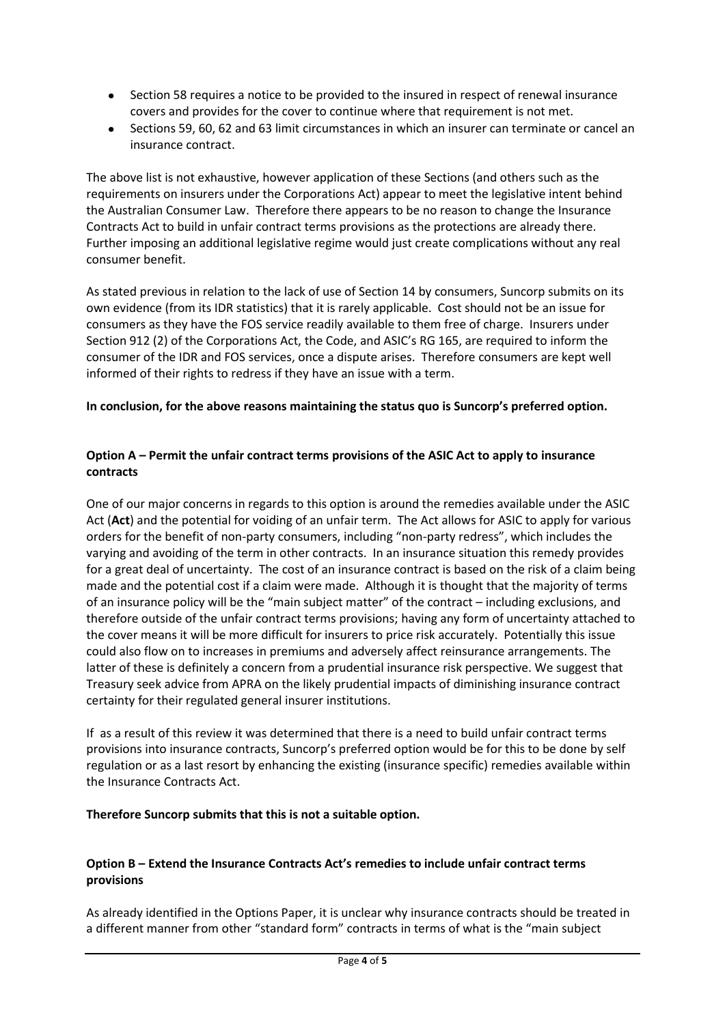- Section 58 requires a notice to be provided to the insured in respect of renewal insurance covers and provides for the cover to continue where that requirement is not met.
- Sections 59, 60, 62 and 63 limit circumstances in which an insurer can terminate or cancel an insurance contract.

The above list is not exhaustive, however application of these Sections (and others such as the requirements on insurers under the Corporations Act) appear to meet the legislative intent behind the Australian Consumer Law. Therefore there appears to be no reason to change the Insurance Contracts Act to build in unfair contract terms provisions as the protections are already there. Further imposing an additional legislative regime would just create complications without any real consumer benefit.

As stated previous in relation to the lack of use of Section 14 by consumers, Suncorp submits on its own evidence (from its IDR statistics) that it is rarely applicable. Cost should not be an issue for consumers as they have the FOS service readily available to them free of charge. Insurers under Section 912 (2) of the Corporations Act, the Code, and ASIC's RG 165, are required to inform the consumer of the IDR and FOS services, once a dispute arises. Therefore consumers are kept well informed of their rights to redress if they have an issue with a term.

## **In conclusion, for the above reasons maintaining the status quo is Suncorp's preferred option.**

# **Option A – Permit the unfair contract terms provisions of the ASIC Act to apply to insurance contracts**

One of our major concerns in regards to this option is around the remedies available under the ASIC Act (**Act**) and the potential for voiding of an unfair term. The Act allows for ASIC to apply for various orders for the benefit of non-party consumers, including "non-party redress", which includes the varying and avoiding of the term in other contracts. In an insurance situation this remedy provides for a great deal of uncertainty. The cost of an insurance contract is based on the risk of a claim being made and the potential cost if a claim were made. Although it is thought that the majority of terms of an insurance policy will be the "main subject matter" of the contract – including exclusions, and therefore outside of the unfair contract terms provisions; having any form of uncertainty attached to the cover means it will be more difficult for insurers to price risk accurately. Potentially this issue could also flow on to increases in premiums and adversely affect reinsurance arrangements. The latter of these is definitely a concern from a prudential insurance risk perspective. We suggest that Treasury seek advice from APRA on the likely prudential impacts of diminishing insurance contract certainty for their regulated general insurer institutions.

If as a result of this review it was determined that there is a need to build unfair contract terms provisions into insurance contracts, Suncorp's preferred option would be for this to be done by self regulation or as a last resort by enhancing the existing (insurance specific) remedies available within the Insurance Contracts Act.

## **Therefore Suncorp submits that this is not a suitable option.**

# **Option B – Extend the Insurance Contracts Act's remedies to include unfair contract terms provisions**

As already identified in the Options Paper, it is unclear why insurance contracts should be treated in a different manner from other "standard form" contracts in terms of what is the "main subject